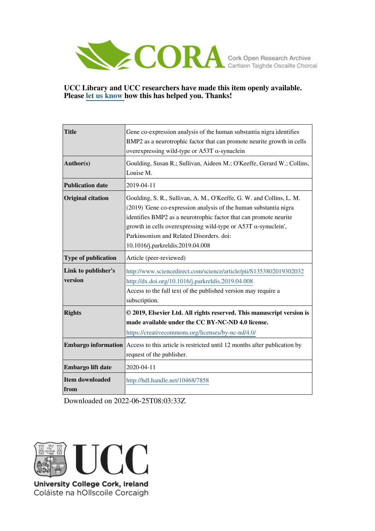

#### **UCC Library and UCC researchers have made this item openly available. Please [let us know h](https://libguides.ucc.ie/openaccess/impact?suffix=7858&title=Gene co-expression analysis of the human substantia nigra identifies BMP2 as a neurotrophic factor that can promote neurite growth in cells overexpressing wild-type or A53T -synuclein)ow this has helped you. Thanks!**

| <b>Title</b>                   | Gene co-expression analysis of the human substantia nigra identifies<br>BMP2 as a neurotrophic factor that can promote neurite growth in cells<br>overexpressing wild-type or A53T $\alpha$ -synuclein                                                                                                                                                                   |
|--------------------------------|--------------------------------------------------------------------------------------------------------------------------------------------------------------------------------------------------------------------------------------------------------------------------------------------------------------------------------------------------------------------------|
| Author(s)                      | Goulding, Susan R.; Sullivan, Aideen M.; O'Keeffe, Gerard W.; Collins,<br>Louise M.                                                                                                                                                                                                                                                                                      |
| <b>Publication date</b>        | 2019-04-11                                                                                                                                                                                                                                                                                                                                                               |
| <b>Original citation</b>       | Goulding, S. R., Sullivan, A. M., O'Keeffe, G. W. and Collins, L. M.<br>(2019) 'Gene co-expression analysis of the human substantia nigra<br>identifies BMP2 as a neurotrophic factor that can promote neurite<br>growth in cells overexpressing wild-type or A53T $\alpha$ -synuclein',<br>Parkinsonism and Related Disorders. doi:<br>10.1016/j.parkreldis.2019.04.008 |
| <b>Type of publication</b>     | Article (peer-reviewed)                                                                                                                                                                                                                                                                                                                                                  |
| Link to publisher's<br>version | http://www.sciencedirect.com/science/article/pii/S1353802019302032<br>http://dx.doi.org/10.1016/j.parkreldis.2019.04.008<br>Access to the full text of the published version may require a<br>subscription.                                                                                                                                                              |
| <b>Rights</b>                  | © 2019, Elsevier Ltd. All rights reserved. This manuscript version is<br>made available under the CC BY-NC-ND 4.0 license.<br>https://creativecommons.org/licenses/by-nc-nd/4.0/                                                                                                                                                                                         |
| <b>Embargo information</b>     | Access to this article is restricted until 12 months after publication by<br>request of the publisher.                                                                                                                                                                                                                                                                   |
| Embargo lift date              | 2020-04-11                                                                                                                                                                                                                                                                                                                                                               |
| <b>Item downloaded</b><br>from | http://hdl.handle.net/10468/7858                                                                                                                                                                                                                                                                                                                                         |

Downloaded on 2022-06-25T08:03:33Z



Coláiste na hOllscoile Corcaigh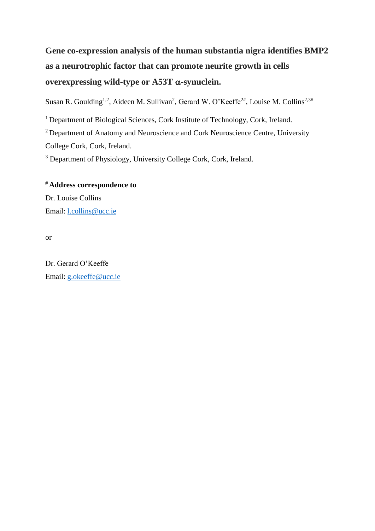# **Gene co-expression analysis of the human substantia nigra identifies BMP2 as a neurotrophic factor that can promote neurite growth in cells**  overexpressing wild-type or  $A53T \alpha$ -synuclein.

Susan R. Goulding<sup>1,2</sup>, Aideen M. Sullivan<sup>2</sup>, Gerard W. O'Keeffe<sup>2#</sup>, Louise M. Collins<sup>2,3#</sup>

<sup>1</sup> Department of Biological Sciences, Cork Institute of Technology, Cork, Ireland.

<sup>2</sup> Department of Anatomy and Neuroscience and Cork Neuroscience Centre, University

College Cork, Cork, Ireland.

<sup>3</sup> Department of Physiology, University College Cork, Cork, Ireland.

# **# Address correspondence to**

Dr. Louise Collins Email: [l.collins@ucc.ie](mailto:l.collins@ucc.ie)

or

Dr. Gerard O'Keeffe Email: [g.okeeffe@ucc.ie](mailto:g.okeeffe@ucc.ie)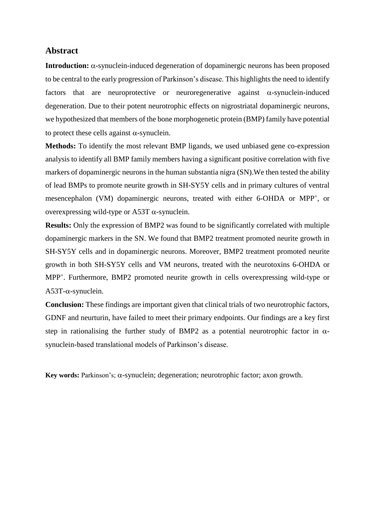#### **Abstract**

**Introduction:**  $\alpha$ -synuclein-induced degeneration of dopaminergic neurons has been proposed to be central to the early progression of Parkinson's disease. This highlights the need to identify factors that are neuroprotective or neuroregenerative against  $\alpha$ -synuclein-induced degeneration. Due to their potent neurotrophic effects on nigrostriatal dopaminergic neurons, we hypothesized that members of the bone morphogenetic protein (BMP) family have potential to protect these cells against  $\alpha$ -synuclein.

**Methods:** To identify the most relevant BMP ligands, we used unbiased gene co-expression analysis to identify all BMP family members having a significant positive correlation with five markers of dopaminergic neurons in the human substantia nigra (SN).We then tested the ability of lead BMPs to promote neurite growth in SH-SY5Y cells and in primary cultures of ventral mesencephalon (VM) dopaminergic neurons, treated with either 6-OHDA or MPP<sup>+</sup>, or overexpressing wild-type or A53T  $\alpha$ -synuclein.

**Results:** Only the expression of BMP2 was found to be significantly correlated with multiple dopaminergic markers in the SN. We found that BMP2 treatment promoted neurite growth in SH-SY5Y cells and in dopaminergic neurons. Moreover, BMP2 treatment promoted neurite growth in both SH-SY5Y cells and VM neurons, treated with the neurotoxins 6-OHDA or MPP<sup>+</sup> . Furthermore, BMP2 promoted neurite growth in cells overexpressing wild-type or  $A53T-\alpha$ -synuclein.

**Conclusion:** These findings are important given that clinical trials of two neurotrophic factors, GDNF and neurturin, have failed to meet their primary endpoints. Our findings are a key first step in rationalising the further study of BMP2 as a potential neurotrophic factor in  $\alpha$ synuclein-based translational models of Parkinson's disease.

**Key words:** Parkinson's;  $\alpha$ -synuclein; degeneration; neurotrophic factor; axon growth.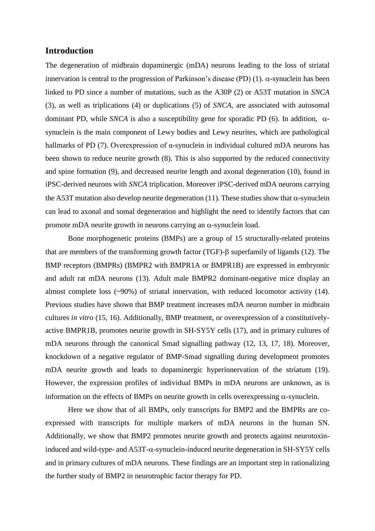#### **Introduction**

The degeneration of midbrain dopaminergic (mDA) neurons leading to the loss of striatal innervation is central to the progression of Parkinson's disease (PD) (1).  $\alpha$ -synuclein has been linked to PD since a number of mutations, such as the A30P (2) or A53T mutation in *SNCA* (3), as well as triplications (4) or duplications (5) of *SNCA,* are associated with autosomal dominant PD, while *SNCA* is also a susceptibility gene for sporadic PD (6). In addition,  $\alpha$ synuclein is the main component of Lewy bodies and Lewy neurites, which are pathological hallmarks of PD (7). Overexpression of α-synuclein in individual cultured mDA neurons has been shown to reduce neurite growth (8). This is also supported by the reduced connectivity and spine formation (9), and decreased neurite length and axonal degeneration (10), found in iPSC-derived neurons with *SNCA* triplication. Moreover iPSC-derived mDA neurons carrying the A53T mutation also develop neurite degeneration (11). These studies show that  $\alpha$ -synuclein can lead to axonal and somal degeneration and highlight the need to identify factors that can promote mDA neurite growth in neurons carrying an  $\alpha$ -synuclein load.

Bone morphogenetic proteins (BMPs) are a group of 15 structurally-related proteins that are members of the transforming growth factor (TGF)- $\beta$  superfamily of ligands (12). The BMP receptors (BMPRs) (BMPR2 with BMPR1A or BMPR1B) are expressed in embryonic and adult rat mDA neurons (13). Adult male BMPR2 dominant-negative mice display an almost complete loss (~90%) of striatal innervation, with reduced locomotor activity (14). Previous studies have shown that BMP treatment increases mDA neuron number in midbrain cultures *in vitro* (15, 16). Additionally, BMP treatment, or overexpression of a constitutivelyactive BMPR1B, promotes neurite growth in SH-SY5Y cells (17), and in primary cultures of mDA neurons through the canonical Smad signalling pathway (12, 13, 17, 18). Moreover, knockdown of a negative regulator of BMP-Smad signalling during development promotes mDA neurite growth and leads to dopaminergic hyperinnervation of the striatum (19). However, the expression profiles of individual BMPs in mDA neurons are unknown, as is information on the effects of BMPs on neurite growth in cells overexpressing  $\alpha$ -synuclein.

Here we show that of all BMPs, only transcripts for BMP2 and the BMPRs are coexpressed with transcripts for multiple markers of mDA neurons in the human SN. Additionally, we show that BMP2 promotes neurite growth and protects against neurotoxininduced and wild-type- and  $A53T-\alpha$ -synuclein-induced neurite degeneration in SH-SY5Y cells and in primary cultures of mDA neurons. These findings are an important step in rationalizing the further study of BMP2 in neurotrophic factor therapy for PD.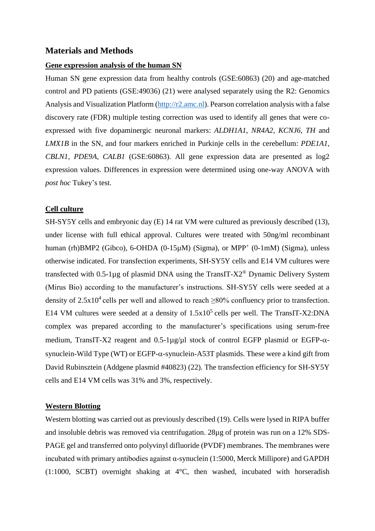### **Materials and Methods**

#### **Gene expression analysis of the human SN**

Human SN gene expression data from healthy controls (GSE:60863) (20) and age-matched control and PD patients (GSE:49036) (21) were analysed separately using the R2: Genomics Analysis and Visualization Platform [\(http://r2.amc.nl\)](http://r2.amc.nl/). Pearson correlation analysis with a false discovery rate (FDR) multiple testing correction was used to identify all genes that were coexpressed with five dopaminergic neuronal markers: *ALDH1A1*, *NR4A2, KCNJ6*, *TH* and *LMX1B* in the SN, and four markers enriched in Purkinje cells in the cerebellum: *PDE1A1, CBLN1, PDE9A, CALB1* (GSE:60863). All gene expression data are presented as log2 expression values. Differences in expression were determined using one-way ANOVA with *post hoc* Tukey's test.

#### **Cell culture**

SH-SY5Y cells and embryonic day (E) 14 rat VM were cultured as previously described (13), under license with full ethical approval. Cultures were treated with 50ng/ml recombinant human (rh)BMP2 (Gibco), 6-OHDA (0-15µM) (Sigma), or MPP<sup>+</sup> (0-1mM) (Sigma), unless otherwise indicated. For transfection experiments, SH-SY5Y cells and E14 VM cultures were transfected with 0.5-1µg of plasmid DNA using the TransIT-X2® Dynamic Delivery System (Mirus Bio) according to the manufacturer's instructions. SH-SY5Y cells were seeded at a density of  $2.5x10^4$  cells per well and allowed to reach  $\geq 80\%$  confluency prior to transfection. E14 VM cultures were seeded at a density of  $1.5x10^5$  cells per well. The TransIT-X2:DNA complex was prepared according to the manufacturer's specifications using serum-free medium, TransIT-X2 reagent and  $0.5$ -1µg/µl stock of control EGFP plasmid or EGFP- $\alpha$ synuclein-Wild Type (WT) or EGFP- $\alpha$ -synuclein-A53T plasmids. These were a kind gift from David Rubinsztein (Addgene plasmid #40823) (22). The transfection efficiency for SH-SY5Y cells and E14 VM cells was 31% and 3%, respectively.

#### **Western Blotting**

Western blotting was carried out as previously described (19). Cells were lysed in RIPA buffer and insoluble debris was removed via centrifugation. 28µg of protein was run on a 12% SDS-PAGE gel and transferred onto polyvinyl difluoride (PVDF) membranes. The membranes were incubated with primary antibodies against α-synuclein (1:5000, Merck Millipore) and GAPDH (1:1000, SCBT) overnight shaking at 4°C, then washed, incubated with horseradish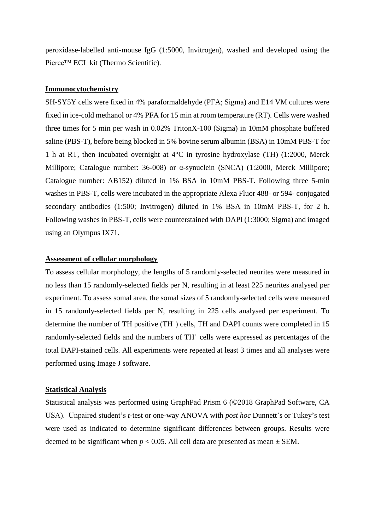peroxidase-labelled anti-mouse IgG (1:5000, Invitrogen), washed and developed using the Pierce™ ECL kit (Thermo Scientific).

#### **Immunocytochemistry**

SH-SY5Y cells were fixed in 4% paraformaldehyde (PFA; Sigma) and E14 VM cultures were fixed in ice-cold methanol or 4% PFA for 15 min at room temperature (RT). Cells were washed three times for 5 min per wash in 0.02% TritonX-100 (Sigma) in 10mM phosphate buffered saline (PBS-T), before being blocked in 5% bovine serum albumin (BSA) in 10mM PBS-T for 1 h at RT, then incubated overnight at 4°C in tyrosine hydroxylase (TH) (1:2000, Merck Millipore; Catalogue number: 36-008) or α-synuclein (SNCA) (1:2000, Merck Millipore; Catalogue number: AB152) diluted in 1% BSA in 10mM PBS-T. Following three 5-min washes in PBS-T, cells were incubated in the appropriate Alexa Fluor 488- or 594- conjugated secondary antibodies (1:500; Invitrogen) diluted in 1% BSA in 10mM PBS-T, for 2 h. Following washes in PBS-T, cells were counterstained with DAPI (1:3000; Sigma) and imaged using an Olympus IX71.

#### **Assessment of cellular morphology**

To assess cellular morphology, the lengths of 5 randomly-selected neurites were measured in no less than 15 randomly-selected fields per N, resulting in at least 225 neurites analysed per experiment. To assess somal area, the somal sizes of 5 randomly-selected cells were measured in 15 randomly-selected fields per N, resulting in 225 cells analysed per experiment. To determine the number of TH positive  $(TH^+)$  cells, TH and DAPI counts were completed in 15 randomly-selected fields and the numbers of TH<sup>+</sup> cells were expressed as percentages of the total DAPI-stained cells. All experiments were repeated at least 3 times and all analyses were performed using Image J software.

#### **Statistical Analysis**

Statistical analysis was performed using GraphPad Prism 6 (©2018 GraphPad Software, CA USA). Unpaired student's *t-*test or one-way ANOVA with *post hoc* Dunnett's or Tukey's test were used as indicated to determine significant differences between groups. Results were deemed to be significant when  $p < 0.05$ . All cell data are presented as mean  $\pm$  SEM.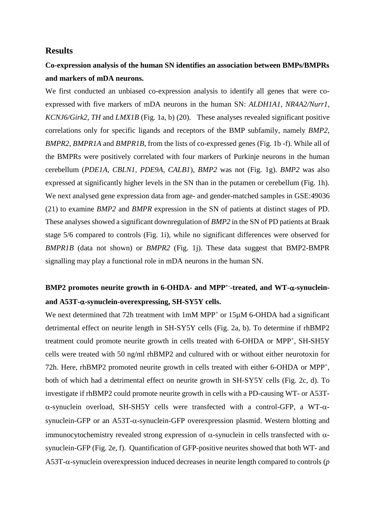#### **Results**

# **Co-expression analysis of the human SN identifies an association between BMPs/BMPRs and markers of mDA neurons.**

We first conducted an unbiased co-expression analysis to identify all genes that were coexpressed with five markers of mDA neurons in the human SN: *ALDH1A1*, *NR4A2/Nurr1*, *KCNJ6/Girk2*, *TH* and *LMX1B* (Fig. 1a, b) (20). These analyses revealed significant positive correlations only for specific ligands and receptors of the BMP subfamily, namely *BMP2*, *BMPR2*, *BMPR1A* and *BMPR1B*, from the lists of co-expressed genes (Fig. 1b -f). While all of the BMPRs were positively correlated with four markers of Purkinje neurons in the human cerebellum (*PDE1A, CBLN1, PDE9A, CALB1*), *BMP2* was not (Fig. 1g). *BMP2* was also expressed at significantly higher levels in the SN than in the putamen or cerebellum (Fig. 1h). We next analysed gene expression data from age- and gender-matched samples in GSE:49036 (21) to examine *BMP2* and *BMPR* expression in the SN of patients at distinct stages of PD. These analyses showed a significant downregulation of *BMP2* in the SN of PD patients at Braak stage 5/6 compared to controls (Fig. 1i), while no significant differences were observed for *BMPR1B* (data not shown) or *BMPR2* (Fig. 1j). These data suggest that BMP2-BMPR signalling may play a functional role in mDA neurons in the human SN.

# **BMP2 promotes neurite growth in 6-OHDA- and MPP+- -treated, and WT--synucleinand A53T--synuclein-overexpressing, SH-SY5Y cells.**

We next determined that 72h treatment with  $1mM MPP<sup>+</sup>$  or  $15\mu M$  6-OHDA had a significant detrimental effect on neurite length in SH-SY5Y cells (Fig. 2a, b). To determine if rhBMP2 treatment could promote neurite growth in cells treated with 6-OHDA or MPP<sup>+</sup>, SH-SH5Y cells were treated with 50 ng/ml rhBMP2 and cultured with or without either neurotoxin for 72h. Here, rhBMP2 promoted neurite growth in cells treated with either 6-OHDA or MPP<sup>+</sup>, both of which had a detrimental effect on neurite growth in SH-SY5Y cells (Fig. 2c, d). To investigate if rhBMP2 could promote neurite growth in cells with a PD-causing WT- or A53T-  $\alpha$ -synuclein overload, SH-SH5Y cells were transfected with a control-GFP, a WT- $\alpha$ synuclein-GFP or an A53T- $\alpha$ -synuclein-GFP overexpression plasmid. Western blotting and immunocytochemistry revealed strong expression of  $\alpha$ -synuclein in cells transfected with  $\alpha$ synuclein-GFP (Fig. 2e, f). Quantification of GFP-positive neurites showed that both WT- and  $A53T-\alpha$ -synuclein overexpression induced decreases in neurite length compared to controls (*p*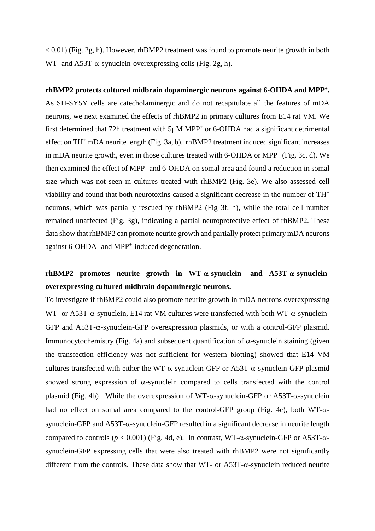$< 0.01$ ) (Fig. 2g, h). However, rhBMP2 treatment was found to promote neurite growth in both WT- and A53T- $\alpha$ -synuclein-overexpressing cells (Fig. 2g, h).

**rhBMP2 protects cultured midbrain dopaminergic neurons against 6-OHDA and MPP<sup>+</sup> .** As SH-SY5Y cells are catecholaminergic and do not recapitulate all the features of mDA neurons, we next examined the effects of rhBMP2 in primary cultures from E14 rat VM. We first determined that 72h treatment with 5µM MPP<sup>+</sup> or 6-OHDA had a significant detrimental effect on  $TH^+$  mDA neurite length (Fig. 3a, b). rhBMP2 treatment induced significant increases in mDA neurite growth, even in those cultures treated with 6-OHDA or MPP<sup>+</sup> (Fig. 3c, d). We then examined the effect of MPP<sup>+</sup> and 6-OHDA on somal area and found a reduction in somal size which was not seen in cultures treated with rhBMP2 (Fig. 3e). We also assessed cell viability and found that both neurotoxins caused a significant decrease in the number of TH<sup>+</sup> neurons, which was partially rescued by rhBMP2 (Fig 3f, h), while the total cell number remained unaffected (Fig. 3g), indicating a partial neuroprotective effect of rhBMP2. These data show that rhBMP2 can promote neurite growth and partially protect primary mDA neurons against 6-OHDA- and MPP<sup>+</sup>-induced degeneration.

# $r$ **hBMP2** promotes neurite growth in WT- $\alpha$ -synuclein- and A53T- $\alpha$ -synuclein**overexpressing cultured midbrain dopaminergic neurons.**

To investigate if rhBMP2 could also promote neurite growth in mDA neurons overexpressing WT- or A53T- $\alpha$ -synuclein, E14 rat VM cultures were transfected with both WT- $\alpha$ -synuclein-GFP and  $A53T-\alpha$ -synuclein-GFP overexpression plasmids, or with a control-GFP plasmid. Immunocytochemistry (Fig. 4a) and subsequent quantification of  $\alpha$ -synuclein staining (given the transfection efficiency was not sufficient for western blotting) showed that E14 VM cultures transfected with either the WT- $\alpha$ -synuclein-GFP or A53T- $\alpha$ -synuclein-GFP plasmid showed strong expression of  $\alpha$ -synuclein compared to cells transfected with the control plasmid (Fig. 4b). While the overexpression of WT- $\alpha$ -synuclein-GFP or A53T- $\alpha$ -synuclein had no effect on somal area compared to the control-GFP group (Fig. 4c), both WT- $\alpha$ synuclein-GFP and  $A53T-\alpha$ -synuclein-GFP resulted in a significant decrease in neurite length compared to controls ( $p < 0.001$ ) (Fig. 4d, e). In contrast, WT- $\alpha$ -synuclein-GFP or A53T- $\alpha$ synuclein-GFP expressing cells that were also treated with rhBMP2 were not significantly different from the controls. These data show that WT- or  $A53T-\alpha$ -synuclein reduced neurite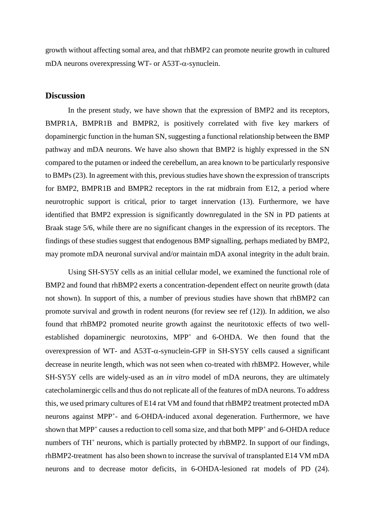growth without affecting somal area, and that rhBMP2 can promote neurite growth in cultured mDA neurons overexpressing WT- or A53T- $\alpha$ -synuclein.

#### **Discussion**

In the present study, we have shown that the expression of BMP2 and its receptors, BMPR1A, BMPR1B and BMPR2, is positively correlated with five key markers of dopaminergic function in the human SN, suggesting a functional relationship between the BMP pathway and mDA neurons. We have also shown that BMP2 is highly expressed in the SN compared to the putamen or indeed the cerebellum, an area known to be particularly responsive to BMPs (23). In agreement with this, previous studies have shown the expression of transcripts for BMP2, BMPR1B and BMPR2 receptors in the rat midbrain from E12, a period where neurotrophic support is critical, prior to target innervation (13). Furthermore, we have identified that BMP2 expression is significantly downregulated in the SN in PD patients at Braak stage 5/6, while there are no significant changes in the expression of its receptors. The findings of these studies suggest that endogenous BMP signalling, perhaps mediated by BMP2, may promote mDA neuronal survival and/or maintain mDA axonal integrity in the adult brain.

Using SH-SY5Y cells as an initial cellular model, we examined the functional role of BMP2 and found that rhBMP2 exerts a concentration-dependent effect on neurite growth (data not shown). In support of this, a number of previous studies have shown that rhBMP2 can promote survival and growth in rodent neurons (for review see ref (12)). In addition, we also found that rhBMP2 promoted neurite growth against the neuritotoxic effects of two wellestablished dopaminergic neurotoxins, MPP<sup>+</sup> and 6-OHDA. We then found that the overexpression of WT- and A53T- $\alpha$ -synuclein-GFP in SH-SY5Y cells caused a significant decrease in neurite length, which was not seen when co-treated with rhBMP2. However, while SH-SY5Y cells are widely-used as an *in vitro* model of mDA neurons, they are ultimately catecholaminergic cells and thus do not replicate all of the features of mDA neurons. To address this, we used primary cultures of E14 rat VM and found that rhBMP2 treatment protected mDA neurons against MPP<sup>+</sup>- and 6-OHDA-induced axonal degeneration. Furthermore, we have shown that MPP<sup>+</sup> causes a reduction to cell soma size, and that both MPP<sup>+</sup> and 6-OHDA reduce numbers of TH<sup>+</sup> neurons, which is partially protected by rhBMP2. In support of our findings, rhBMP2-treatment has also been shown to increase the survival of transplanted E14 VM mDA neurons and to decrease motor deficits, in 6-OHDA-lesioned rat models of PD (24).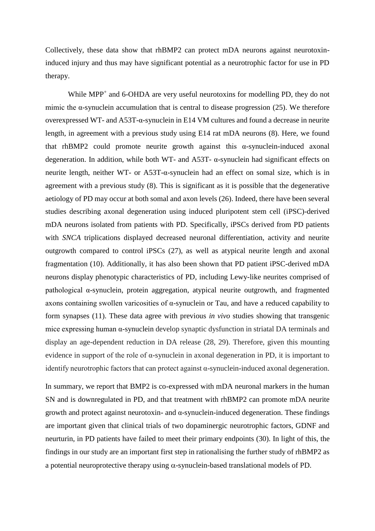Collectively, these data show that rhBMP2 can protect mDA neurons against neurotoxininduced injury and thus may have significant potential as a neurotrophic factor for use in PD therapy.

While MPP<sup>+</sup> and 6-OHDA are very useful neurotoxins for modelling PD, they do not mimic the α-synuclein accumulation that is central to disease progression (25). We therefore overexpressed WT- and A53T-α-synuclein in E14 VM cultures and found a decrease in neurite length, in agreement with a previous study using E14 rat mDA neurons (8). Here, we found that rhBMP2 could promote neurite growth against this  $\alpha$ -synuclein-induced axonal degeneration. In addition, while both WT- and A53T- α-synuclein had significant effects on neurite length, neither WT- or A53T-α-synuclein had an effect on somal size, which is in agreement with a previous study (8). This is significant as it is possible that the degenerative aetiology of PD may occur at both somal and axon levels (26). Indeed, there have been several studies describing axonal degeneration using induced pluripotent stem cell (iPSC)-derived mDA neurons isolated from patients with PD. Specifically, iPSCs derived from PD patients with *SNCA* triplications displayed decreased neuronal differentiation, activity and neurite outgrowth compared to control iPSCs (27), as well as atypical neurite length and axonal fragmentation (10). Additionally, it has also been shown that PD patient iPSC-derived mDA neurons display phenotypic characteristics of PD, including Lewy-like neurites comprised of pathological α-synuclein, protein aggregation, atypical neurite outgrowth, and fragmented axons containing swollen varicosities of α-synuclein or Tau, and have a reduced capability to form synapses (11). These data agree with previous *in vivo* studies showing that transgenic mice expressing human α-synuclein develop synaptic dysfunction in striatal DA terminals and display an age-dependent reduction in DA release (28, 29). Therefore, given this mounting evidence in support of the role of  $\alpha$ -synuclein in axonal degeneration in PD, it is important to identify neurotrophic factors that can protect against  $\alpha$ -synuclein-induced axonal degeneration.

In summary, we report that BMP2 is co-expressed with mDA neuronal markers in the human SN and is downregulated in PD, and that treatment with rhBMP2 can promote mDA neurite growth and protect against neurotoxin- and  $\alpha$ -synuclein-induced degeneration. These findings are important given that clinical trials of two dopaminergic neurotrophic factors, GDNF and neurturin, in PD patients have failed to meet their primary endpoints (30). In light of this, the findings in our study are an important first step in rationalising the further study of rhBMP2 as a potential neuroprotective therapy using  $\alpha$ -synuclein-based translational models of PD.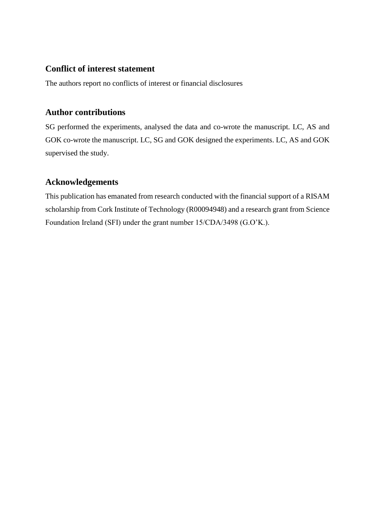### **Conflict of interest statement**

The authors report no conflicts of interest or financial disclosures

### **Author contributions**

SG performed the experiments, analysed the data and co-wrote the manuscript. LC, AS and GOK co-wrote the manuscript. LC, SG and GOK designed the experiments. LC, AS and GOK supervised the study.

## **Acknowledgements**

This publication has emanated from research conducted with the financial support of a RISAM scholarship from Cork Institute of Technology (R00094948) and a research grant from Science Foundation Ireland (SFI) under the grant number 15/CDA/3498 (G.O'K.).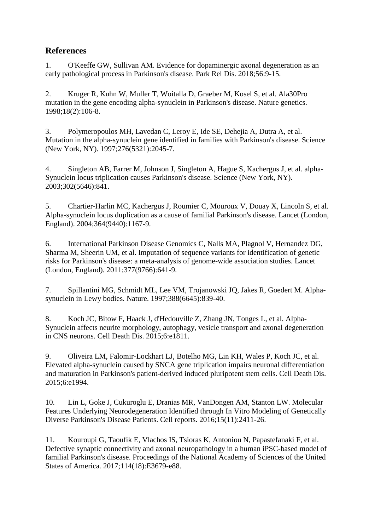# **References**

1. O'Keeffe GW, Sullivan AM. Evidence for dopaminergic axonal degeneration as an early pathological process in Parkinson's disease. Park Rel Dis. 2018;56:9-15.

2. Kruger R, Kuhn W, Muller T, Woitalla D, Graeber M, Kosel S, et al. Ala30Pro mutation in the gene encoding alpha-synuclein in Parkinson's disease. Nature genetics. 1998;18(2):106-8.

3. Polymeropoulos MH, Lavedan C, Leroy E, Ide SE, Dehejia A, Dutra A, et al. Mutation in the alpha-synuclein gene identified in families with Parkinson's disease. Science (New York, NY). 1997;276(5321):2045-7.

4. Singleton AB, Farrer M, Johnson J, Singleton A, Hague S, Kachergus J, et al. alpha-Synuclein locus triplication causes Parkinson's disease. Science (New York, NY). 2003;302(5646):841.

5. Chartier-Harlin MC, Kachergus J, Roumier C, Mouroux V, Douay X, Lincoln S, et al. Alpha-synuclein locus duplication as a cause of familial Parkinson's disease. Lancet (London, England). 2004;364(9440):1167-9.

6. International Parkinson Disease Genomics C, Nalls MA, Plagnol V, Hernandez DG, Sharma M, Sheerin UM, et al. Imputation of sequence variants for identification of genetic risks for Parkinson's disease: a meta-analysis of genome-wide association studies. Lancet (London, England). 2011;377(9766):641-9.

7. Spillantini MG, Schmidt ML, Lee VM, Trojanowski JQ, Jakes R, Goedert M. Alphasynuclein in Lewy bodies. Nature. 1997;388(6645):839-40.

8. Koch JC, Bitow F, Haack J, d'Hedouville Z, Zhang JN, Tonges L, et al. Alpha-Synuclein affects neurite morphology, autophagy, vesicle transport and axonal degeneration in CNS neurons. Cell Death Dis. 2015;6:e1811.

9. Oliveira LM, Falomir-Lockhart LJ, Botelho MG, Lin KH, Wales P, Koch JC, et al. Elevated alpha-synuclein caused by SNCA gene triplication impairs neuronal differentiation and maturation in Parkinson's patient-derived induced pluripotent stem cells. Cell Death Dis. 2015;6:e1994.

10. Lin L, Goke J, Cukuroglu E, Dranias MR, VanDongen AM, Stanton LW. Molecular Features Underlying Neurodegeneration Identified through In Vitro Modeling of Genetically Diverse Parkinson's Disease Patients. Cell reports. 2016;15(11):2411-26.

11. Kouroupi G, Taoufik E, Vlachos IS, Tsioras K, Antoniou N, Papastefanaki F, et al. Defective synaptic connectivity and axonal neuropathology in a human iPSC-based model of familial Parkinson's disease. Proceedings of the National Academy of Sciences of the United States of America. 2017;114(18):E3679-e88.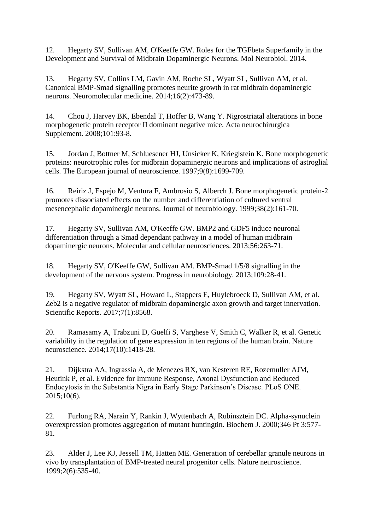12. Hegarty SV, Sullivan AM, O'Keeffe GW. Roles for the TGFbeta Superfamily in the Development and Survival of Midbrain Dopaminergic Neurons. Mol Neurobiol. 2014.

13. Hegarty SV, Collins LM, Gavin AM, Roche SL, Wyatt SL, Sullivan AM, et al. Canonical BMP-Smad signalling promotes neurite growth in rat midbrain dopaminergic neurons. Neuromolecular medicine. 2014;16(2):473-89.

14. Chou J, Harvey BK, Ebendal T, Hoffer B, Wang Y. Nigrostriatal alterations in bone morphogenetic protein receptor II dominant negative mice. Acta neurochirurgica Supplement. 2008;101:93-8.

15. Jordan J, Bottner M, Schluesener HJ, Unsicker K, Krieglstein K. Bone morphogenetic proteins: neurotrophic roles for midbrain dopaminergic neurons and implications of astroglial cells. The European journal of neuroscience. 1997;9(8):1699-709.

16. Reiriz J, Espejo M, Ventura F, Ambrosio S, Alberch J. Bone morphogenetic protein-2 promotes dissociated effects on the number and differentiation of cultured ventral mesencephalic dopaminergic neurons. Journal of neurobiology. 1999;38(2):161-70.

17. Hegarty SV, Sullivan AM, O'Keeffe GW. BMP2 and GDF5 induce neuronal differentiation through a Smad dependant pathway in a model of human midbrain dopaminergic neurons. Molecular and cellular neurosciences. 2013;56:263-71.

18. Hegarty SV, O'Keeffe GW, Sullivan AM. BMP-Smad 1/5/8 signalling in the development of the nervous system. Progress in neurobiology. 2013;109:28-41.

19. Hegarty SV, Wyatt SL, Howard L, Stappers E, Huylebroeck D, Sullivan AM, et al. Zeb2 is a negative regulator of midbrain dopaminergic axon growth and target innervation. Scientific Reports. 2017;7(1):8568.

20. Ramasamy A, Trabzuni D, Guelfi S, Varghese V, Smith C, Walker R, et al. Genetic variability in the regulation of gene expression in ten regions of the human brain. Nature neuroscience. 2014;17(10):1418-28.

21. Dijkstra AA, Ingrassia A, de Menezes RX, van Kesteren RE, Rozemuller AJM, Heutink P, et al. Evidence for Immune Response, Axonal Dysfunction and Reduced Endocytosis in the Substantia Nigra in Early Stage Parkinson's Disease. PLoS ONE. 2015;10(6).

22. Furlong RA, Narain Y, Rankin J, Wyttenbach A, Rubinsztein DC. Alpha-synuclein overexpression promotes aggregation of mutant huntingtin. Biochem J. 2000;346 Pt 3:577- 81.

23. Alder J, Lee KJ, Jessell TM, Hatten ME. Generation of cerebellar granule neurons in vivo by transplantation of BMP-treated neural progenitor cells. Nature neuroscience. 1999;2(6):535-40.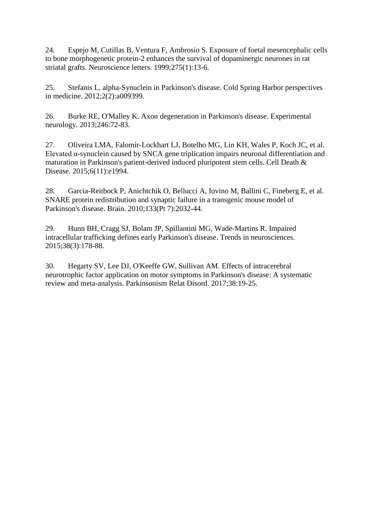24. Espejo M, Cutillas B, Ventura F, Ambrosio S. Exposure of foetal mesencephalic cells to bone morphogenetic protein-2 enhances the survival of dopaminergic neurones in rat striatal grafts. Neuroscience letters. 1999;275(1):13-6.

25. Stefanis L. alpha-Synuclein in Parkinson's disease. Cold Spring Harbor perspectives in medicine. 2012;2(2):a009399.

26. Burke RE, O'Malley K. Axon degeneration in Parkinson's disease. Experimental neurology. 2013;246:72-83.

27. Oliveira LMA, Falomir-Lockhart LJ, Botelho MG, Lin KH, Wales P, Koch JC, et al. Elevated  $\alpha$ -synuclein caused by SNCA gene triplication impairs neuronal differentiation and maturation in Parkinson's patient-derived induced pluripotent stem cells. Cell Death & Disease. 2015;6(11):e1994.

28. Garcia-Reitbock P, Anichtchik O, Bellucci A, Iovino M, Ballini C, Fineberg E, et al. SNARE protein redistribution and synaptic failure in a transgenic mouse model of Parkinson's disease. Brain. 2010;133(Pt 7):2032-44.

29. Hunn BH, Cragg SJ, Bolam JP, Spillantini MG, Wade-Martins R. Impaired intracellular trafficking defines early Parkinson's disease. Trends in neurosciences. 2015;38(3):178-88.

30. Hegarty SV, Lee DJ, O'Keeffe GW, Sullivan AM. Effects of intracerebral neurotrophic factor application on motor symptoms in Parkinson's disease: A systematic review and meta-analysis. Parkinsonism Relat Disord. 2017;38:19-25.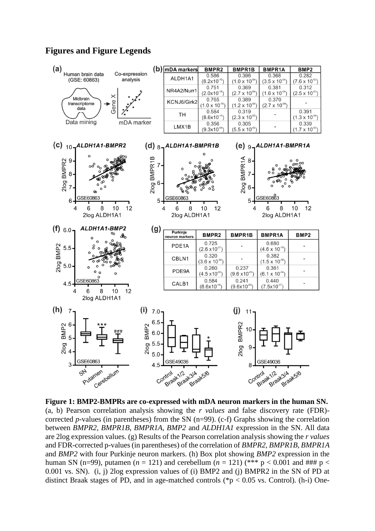### **Figures and Figure Legends**



**Figure 1: BMP2-BMPRs are co-expressed with mDA neuron markers in the human SN.**  (a, b) Pearson correlation analysis showing the *r values* and false discovery rate (FDR) corrected *p*-values (in parentheses) from the SN (n=99). (c-f) Graphs showing the correlation between *BMPR2, BMPR1B, BMPR1A, BMP2* and *ALDH1A1* expression in the SN. All data are 2log expression values. (g) Results of the Pearson correlation analysis showing the *r values* and FDR-corrected p-values (in parentheses) of the correlation of *BMPR2, BMPR1B, BMPR1A* and *BMP2* with four Purkinje neuron markers. (h) Box plot showing *BMP2* expression in the human SN (n=99), putamen ( $n = 121$ ) and cerebellum ( $n = 121$ ) (\*\*\*  $p < 0.001$  and ###  $p <$ 0.001 vs. SN). (i, j) 2log expression values of (i) BMP2 and (j) BMPR2 in the SN of PD at distinct Braak stages of PD, and in age-matched controls ( $p < 0.05$  vs. Control). (h-i) One-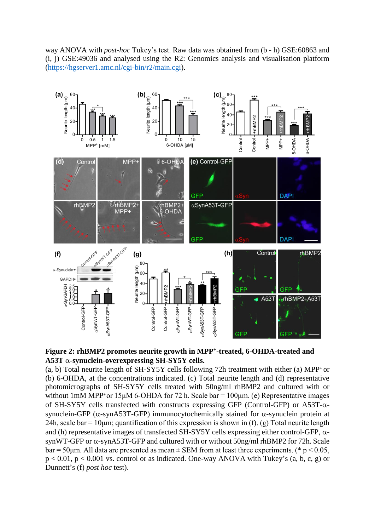way ANOVA with *post-hoc* Tukey's test. Raw data was obtained from (b - h) GSE:60863 and (i, j) GSE:49036 and analysed using the R2: Genomics analysis and visualisation platform [\(https://hgserver1.amc.nl/cgi-bin/r2/main.cgi\)](https://hgserver1.amc.nl/cgi-bin/r2/main.cgi).



**Figure 2: rhBMP2 promotes neurite growth in MPP<sup>+</sup> -treated, 6-OHDA-treated and A53T -synuclein-overexpressing SH-SY5Y cells.** 

(a, b) Total neurite length of  $SH-SYSY$  cells following 72h treatment with either (a) MPP<sup>+</sup> or (b) 6-OHDA, at the concentrations indicated. (c) Total neurite length and (d) representative photomicrographs of SH-SY5Y cells treated with 50ng/ml rhBMP2 and cultured with or without 1mM MPP<sup>+</sup> or 15 $\mu$ M 6-OHDA for 72 h. Scale bar = 100 $\mu$ m. (e) Representative images of SH-SY5Y cells transfected with constructs expressing GFP (Control-GFP) or  $A53T-\alpha$ synuclein-GFP ( $\alpha$ -synA53T-GFP) immunocytochemically stained for  $\alpha$ -synuclein protein at 24h, scale bar = 10 $\mu$ m; quantification of this expression is shown in (f). (g) Total neurite length and (h) representative images of transfected SH-SY5Y cells expressing either control-GFP,  $\alpha$ synWT-GFP or  $\alpha$ -synA53T-GFP and cultured with or without 50ng/ml rhBMP2 for 72h. Scale bar = 50 $\mu$ m. All data are presented as mean  $\pm$  SEM from at least three experiments. (\* p < 0.05,  $p < 0.01$ ,  $p < 0.001$  vs. control or as indicated. One-way ANOVA with Tukey's (a, b, c, g) or Dunnett's (f) *post hoc* test).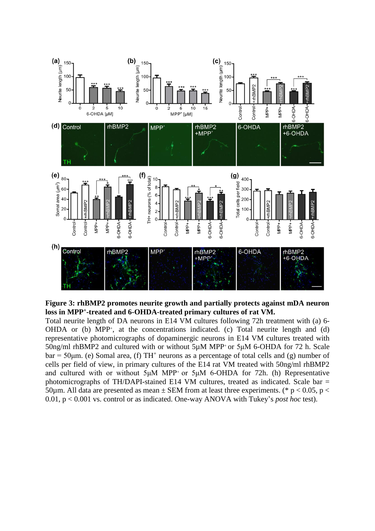



Total neurite length of DA neurons in E14 VM cultures following 72h treatment with (a) 6- OHDA or (b) MPP<sup>+</sup>, at the concentrations indicated. (c) Total neurite length and (d) representative photomicrographs of dopaminergic neurons in E14 VM cultures treated with 50ng/ml rhBMP2 and cultured with or without 5µM MPP+ or 5μM 6-OHDA for 72 h. Scale  $bar = 50 \mu m$ . (e) Somal area, (f) TH<sup>+</sup> neurons as a percentage of total cells and (g) number of cells per field of view, in primary cultures of the E14 rat VM treated with 50ng/ml rhBMP2 and cultured with or without  $5\mu$ M MPP<sup>+</sup> or  $5\mu$ M 6-OHDA for 72h. (h) Representative photomicrographs of TH/DAPI-stained E14 VM cultures, treated as indicated. Scale bar = 50um. All data are presented as mean  $\pm$  SEM from at least three experiments. (\* p < 0.05, p < 0.01, p < 0.001 vs. control or as indicated. One-way ANOVA with Tukey's *post hoc* test).